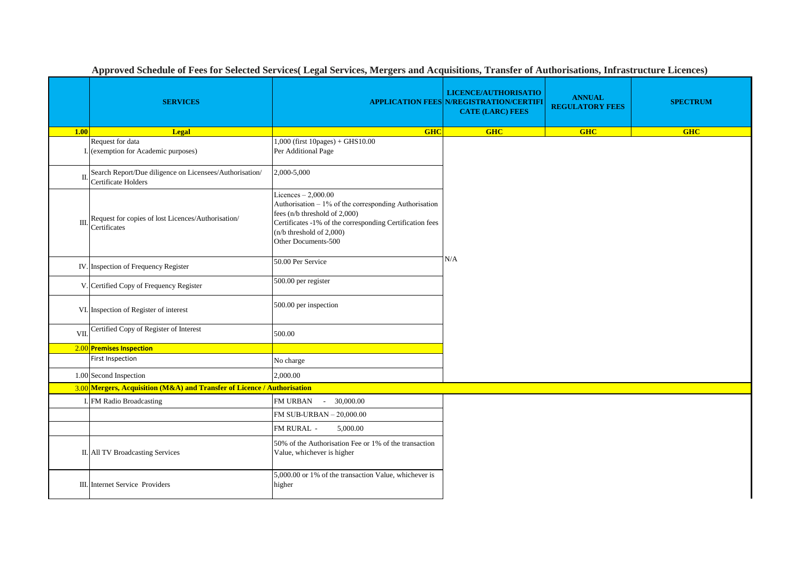|              | <b>SERVICES</b>                                                                |                                                                                                                                                                                                                               | LICENCE/AUTHORISATIO<br><b>APPLICATION FEES N/REGISTRATION/CERTIFI</b><br><b>CATE (LARC) FEES</b> | <b>ANNUAL</b><br><b>REGULATORY FEES</b> | <b>SPECTRUM</b> |  |  |  |
|--------------|--------------------------------------------------------------------------------|-------------------------------------------------------------------------------------------------------------------------------------------------------------------------------------------------------------------------------|---------------------------------------------------------------------------------------------------|-----------------------------------------|-----------------|--|--|--|
| 1.00         | <b>Legal</b>                                                                   | <b>GHC</b>                                                                                                                                                                                                                    | GHC                                                                                               | <b>GHC</b>                              | <b>GHC</b>      |  |  |  |
|              | Request for data<br>I. (exemption for Academic purposes)                       | $1,000$ (first $10 pages$ ) + GHS $10.00$<br>Per Additional Page                                                                                                                                                              |                                                                                                   |                                         |                 |  |  |  |
| П.           | Search Report/Due diligence on Licensees/Authorisation/<br>Certificate Holders | 2,000-5,000                                                                                                                                                                                                                   |                                                                                                   |                                         |                 |  |  |  |
| $\mathbf{I}$ | Request for copies of lost Licences/Authorisation/<br>Certificates             | Licences $-2,000.00$<br>Authorisation - 1% of the corresponding Authorisation<br>fees (n/b threshold of 2,000)<br>Certificates -1% of the corresponding Certification fees<br>(n/b threshold of 2,000)<br>Other Documents-500 |                                                                                                   |                                         |                 |  |  |  |
|              | IV. Inspection of Frequency Register                                           | 50.00 Per Service                                                                                                                                                                                                             | N/A                                                                                               |                                         |                 |  |  |  |
|              | V. Certified Copy of Frequency Register                                        | 500.00 per register                                                                                                                                                                                                           |                                                                                                   |                                         |                 |  |  |  |
|              | VI. Inspection of Register of interest                                         | 500.00 per inspection                                                                                                                                                                                                         |                                                                                                   |                                         |                 |  |  |  |
| VII.         | Certified Copy of Register of Interest                                         | 500.00                                                                                                                                                                                                                        |                                                                                                   |                                         |                 |  |  |  |
|              | 2.00 Premises Inspection                                                       |                                                                                                                                                                                                                               |                                                                                                   |                                         |                 |  |  |  |
|              | <b>First Inspection</b>                                                        | No charge                                                                                                                                                                                                                     |                                                                                                   |                                         |                 |  |  |  |
|              | 1.00 Second Inspection                                                         | 2,000.00                                                                                                                                                                                                                      |                                                                                                   |                                         |                 |  |  |  |
|              | 3.00 Mergers, Acquisition (M&A) and Transfer of Licence / Authorisation        |                                                                                                                                                                                                                               |                                                                                                   |                                         |                 |  |  |  |
|              | I. FM Radio Broadcasting                                                       | 30,000.00<br><b>FM URBAN</b><br>$\sim$                                                                                                                                                                                        |                                                                                                   |                                         |                 |  |  |  |
|              |                                                                                | FM SUB-URBAN - 20,000.00                                                                                                                                                                                                      |                                                                                                   |                                         |                 |  |  |  |
|              |                                                                                | FM RURAL -<br>5,000.00                                                                                                                                                                                                        |                                                                                                   |                                         |                 |  |  |  |
|              | II. All TV Broadcasting Services                                               | 50% of the Authorisation Fee or 1% of the transaction<br>Value, whichever is higher                                                                                                                                           |                                                                                                   |                                         |                 |  |  |  |
|              | III. Internet Service Providers                                                | 5,000.00 or 1% of the transaction Value, whichever is<br>higher                                                                                                                                                               |                                                                                                   |                                         |                 |  |  |  |

**Approved Schedule of Fees for Selected Services( Legal Services, Mergers and Acquisitions, Transfer of Authorisations, Infrastructure Licences)**